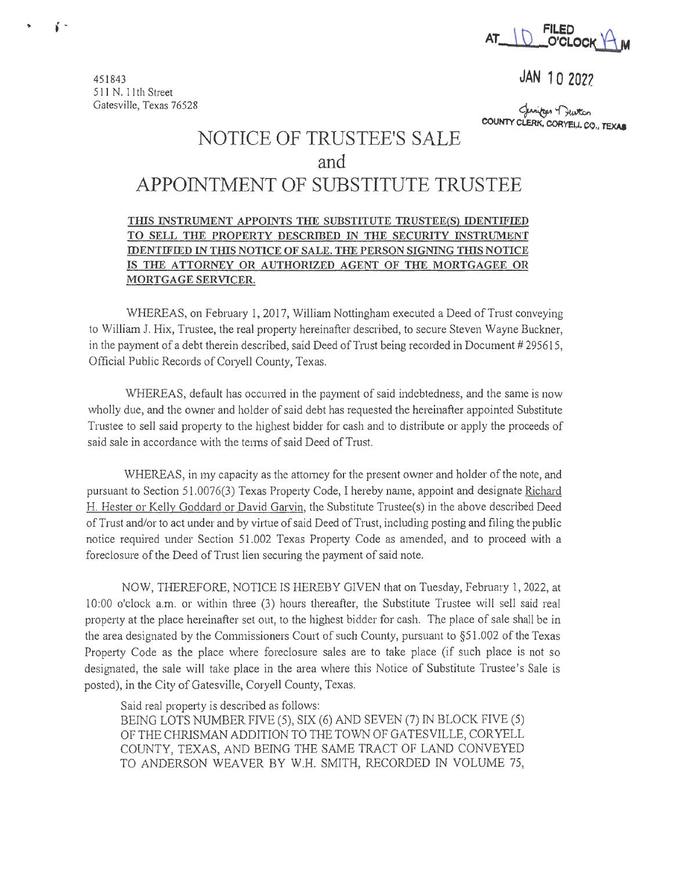

<sup>451843</sup>**JAN 10 2022** 

Cuniter Truston<br>COUNTY CLERK, CORYELL, CO., TEXAB

## **NOTICE OF TRUSTEE'S SALE and APPOINTMENT OF SUBSTITUTE TRUSTEE**

## THIS INSTRUMENT APPOINTS THE SUBSTITUTE TRUSTEE(S) IDENTIFIED **TO SELL THE PROPERTY DESCRIBED IN THE SECURITY INSTRUMENT IDENTIFIED IN THIS NOTICE OF SALE. THE PERSON SIGNING THIS NOTICE IS THE ATTORNEY OR AUTHORIZED AGENT OF THE MORTGAGEE OR MORTGAGE SERVICER.**

WHEREAS, on February 1, 2017, William Nottingham executed a Deed of Trust conveying to William J. Hix, Trustee, the real property hereinafter described, to secure Steven Wayne Buckner, in the payment of a debt therein described, said Deed of Trust being recorded in Document # 295615, Official Public Records of Coryell County, Texas.

WHEREAS, default has occuned in the payment of said indebtedness, and the same is now wholly due, and the owner and holder of said debt has requested the hereinafter appointed Substitute Trustee to sell said property to the highest bidder for cash and to distribute or apply the proceeds of said sale in accordance with the terms of said Deed of Trust.

WHEREAS, in my capacity as the attorney for the present owner and holder of the note, and pursuant to Section 51.0076(3) Texas Property Code, I hereby name, appoint and designate Richard H. Hester or Kelly Goddard or David Garvin, the Substitute Trustee(s) in the above described Deed of Trust and/or to act under and by vittue of said Deed of Trust, including posting and filing the public notice required under Section 51.002 Texas Property Code as amended, and to proceed with a foreclosure of the Deed of Trust lien securing the payment of said note.

NOW, THEREFORE, NOTICE IS HEREBY GIVEN that on Tuesday, February 1, 2022, at 10:00 o'clock a.m. or within three (3) hours thereafter, the Substitute Trustee will sell said real property at the place hereinafter set out, to the highest bidder for cash. The place of sale shall be in the area designated by the Commissioners Court of such County, pursuant to  $\S51.002$  of the Texas Property Code as the place where foreclosure sales are to take place (if such place is not so designated, the sale will take place in the area where this Notice of Substitute Trustee's Sale is posted), in the City of Gatesville, Coryell County, Texas.

Said real property is described as follows:

BEING LOTS NUMBER FIVE (5), SIX (6) AND SEVEN (7) IN BLOCK FIVE (5) OF THE CHRISMAN ADDITION TO THE TOWN OF GATESVILLE, CORYELL COUNTY, TEXAS, AND BEING THE SAME TRACT OF LAND CONVEYED TO ANDERSON WEAVER BY W.H. SMITH, RECORDED IN VOLUME 75,

5 11 N. 11th Street Gatesville, Texas 76528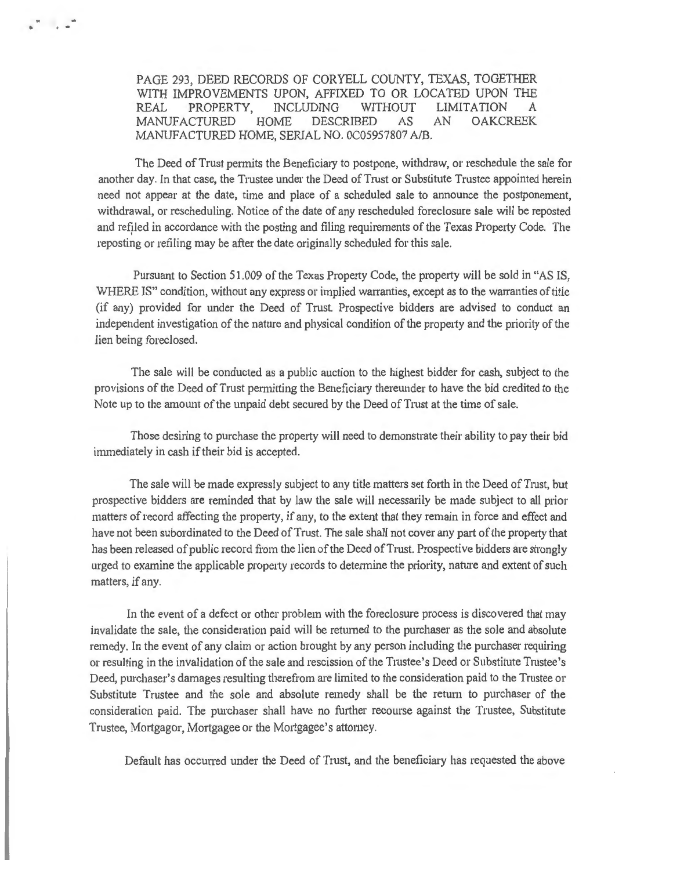PAGE 293, DEED RECORDS OF CORYELL COUNTY, TEXAS, TOGETHER WITH IMPROVEMENTS UPON, AFFIXED TO OR LOCATED UPON THE REAL PROPERTY, INCLUDING WITHOUT LIMITATION A MANUFACTURED HOME DESCRIBED AS AN OAKCREEK MANUFACTURED HOME, SERIAL NO. 0C05957807 A/B.

 $\ddot{\phantom{a}}$ 

The Deed of Trust permits the Beneficiary to postpone, withdraw, or reschedule the sale for another day. In that case, the Trustee under the Deed of Trnst or Substitute Trustee appointed herein need not appear at the date, time and place of a scheduled sale to announce the postponement, withdrawal, or rescheduling. Notice of the date of any rescheduled foreclosure sale will be reposted and refiled in accordance with the posting and filing requirements of the Texas Property Code. The reposting or refiling may be after the date originally scheduled for this sale.

Pursuant to Section 51.009 of the Texas Property Code, the property will be sold in "AS IS, WHERE IS" condition, without any express or implied warranties, except as to the warranties of title (if any) provided for under the Deed of Trust. Prospective bidders are advised to conduct an independent investigation of the nature and physical condition of the property and the priority of the lien being foreclosed.

The sale will be conducted as a public auction to the highest bidder for cash, subject to the provisions of the Deed of Trust permitting the Beneficiary thereunder to have the bid credited to the Note up to the amount of the unpaid debt secured by the Deed of Trust at the time of sale.

Those desiring to purchase the property will need to demonstrate their ability to pay their bid immediately in cash if their bid is accepted.

The sale will be made expressly subject to any title matters set forth in the Deed of Trnst, but prospective bidders are reminded that by law the sale will necessarily be made subject to all prior matters of record affecting the property, if any, to the extent that they remain in force and effect and have not been subordinated to the Deed of Trust. The sale shall not cover any part of the property that has been released of public record from the lien of the Deed of Trust. Prospective bidders are strongly urged to examine the applicable property records to determine the priority, nature and extent of such matters, if any.

In the event of a defect or other problem with the foreclosure process is discovered that may invalidate the sale, the consideration paid will be retwned to the purchaser as the sole and absolute remedy. In the event of any claim or action brought by any person including the purchaser requiring or resulting in the invalidation of the sale and rescission of the Trnstee's Deed or Substitute Trustee's Deed, purchaser's damages resulting therefrom are limited to the consideration paid to the Trustee or Substitute Trustee and the sole and absolute remedy shall be the return to purchaser of the consideration paid. The purchaser shall have no further recourse against the Trustee, Substitute Trustee, Mortgagor, Mortgagee or the Mortgagee's attorney.

Default has occurred under the Deed of Trust, and the beneficiary has requested the above